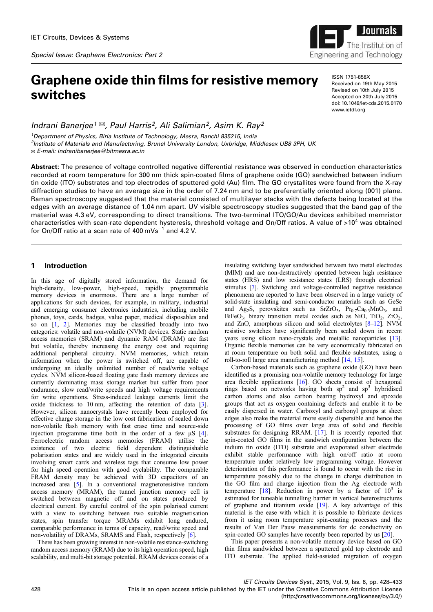*Special Issue: Graphene Electronics: Part 2*

# Graphene oxide thin films for resistive memory switches

*Indrani Banerjee<sup>1</sup>* ✉*, Paul Harris<sup>2</sup> , Ali Salimian<sup>2</sup> , Asim K. Ray<sup>2</sup>*

*<sup>1</sup>Department of Physics, Birla Institute of Technology, Mesra, Ranchi 835215, India 2 Institute of Materials and Manufacturing, Brunel University London, Uxbridge, Middlesex UB8 3PH, UK* ✉ *E-mail: indranibanerjee@bitmesra.ac.in*

Abstract: The presence of voltage controlled negative differential resistance was observed in conduction characteristics recorded at room temperature for 300 nm thick spin-coated films of graphene oxide (GO) sandwiched between indium tin oxide (ITO) substrates and top electrodes of sputtered gold (Au) film. The GO crystallites were found from the X-ray diffraction studies to have an average size in the order of 7.24 nm and to be preferentially oriented along (001) plane. Raman spectroscopy suggested that the material consisted of multilayer stacks with the defects being located at the edges with an average distance of 1.04 nm apart. UV visible spectroscopy studies suggested that the band gap of the material was 4.3 eV, corresponding to direct transitions. The two-terminal ITO/GO/Au devices exhibited memristor characteristics with scan-rate dependent hysteresis, threshold voltage and On/Off ratios. A value of  $>10^4$  was obtained for On/Off ratio at a scan rate of 400 mVs<sup>-1</sup> and 4.2 V.

# 1 Introduction

In this age of digitally stored information, the demand for high-density, low-power, high-speed, rapidly programmable memory devices is enormous. There are a large number of applications for such devices, for example, in military, industrial and emerging consumer electronics industries, including mobile phones, toys, cards, badges, value paper, medical disposables and so on [1, 2]. Memories may be classified broadly into two categories: volatile and non-volatile (NVM) devices. Static random access memories (SRAM) and dynamic RAM (DRAM) are fast but volatile, thereby increasing the energy cost and requiring additional peripheral circuitry. NVM memories, which retain information when the power is switched off, are capable of undergoing an ideally unlimited number of read/write voltage cycles. NVM silicon-based floating gate flash memory devices are currently dominating mass storage market but suffer from poor endurance, slow read/write speeds and high voltage requirements for write operations. Stress-induced leakage currents limit the oxide thickness to 10 nm, affecting the retention of data [3]. However, silicon nanocrystals have recently been employed for effective charge storage in the low cost fabrication of scaled down non-volatile flash memory with fast erase time and source-side injection programme time both in the order of a few  $\mu$ S [4]. Ferroelectric random access memories (FRAM) utilise the existence of two electric field dependent distinguishable polarisation states and are widely used in the integrated circuits involving smart cards and wireless tags that consume low power for high speed operation with good cyclability. The comparable FRAM density may be achieved with 3D capacitors of an increased area [5]. In a conventional magnetoresistive random access memory (MRAM), the tunnel junction memory cell is switched between magnetic off and on states produced by electrical current. By careful control of the spin polarised current with a view to switching between two suitable magnetisation states, spin transfer torque MRAMs exhibit long endured, comparable performance in terms of capacity, read/write speed and non-volatility of DRAMs, SRAMS and Flash, respectively [6].

There has been growing interest in non-volatile resistance-switching random access memory (RRAM) due to its high operation speed, high scalability, and multi-bit storage potential. RRAM devices consist of a

insulating switching layer sandwiched between two metal electrodes (MIM) and are non-destructively operated between high resistance states (HRS) and low resistance states (LRS) through electrical stimulus [7]. Switching and voltage-controlled negative resistance phenomena are reported to have been observed in a large variety of solid-state insulating and semi-conductor materials such as GeSe and Ag<sub>2</sub>S, perovskites such as SrZrO<sub>3</sub>, Pr<sub>0.7</sub>Ca<sub>0.3</sub>MnO<sub>3</sub>, and  $BiFeO<sub>3</sub>$ , binary transition metal oxides such as NiO, TiO<sub>2</sub>, ZrO<sub>2</sub>, and ZnO, amorphous silicon and solid electrolytes [8–12]. NVM resistive switches have significantly been scaled down in recent years using silicon nano-crystals and metallic nanoparticles [13]. Organic flexible memories can be very economically fabricated on at room temperature on both solid and flexible substrates, using a roll-to-roll large area manufacturing method [14, 15].

Carbon-based materials such as graphene oxide (GO) have been identified as a promising non-volatile memory technology for large area flexible applications [16]. GO sheets consist of hexagonal rings based on networks having both  $sp^2$  and  $sp^3$  hybridised carbon atoms and also carbon bearing hydroxyl and epoxide groups that act as oxygen containing defects and enable it to be easily dispersed in water. Carboxyl and carbonyl groups at sheet edges also make the material more easily dispersible and hence the processing of GO films over large area of solid and flexible substrates for designing RRAM. [17]. It is recently reported that spin-coated GO films in the sandwich configuration between the indium tin oxide (ITO) substrate and evaporated silver electrode exhibit stable performance with high on/off ratio at room temperature under relatively low programming voltage. However deterioration of this performance is found to occur with the rise in temperature possibly due to the change in charge distribution in the GO film and charge injection from the Ag electrode with temperature [18]. Reduction in power by a factor of  $10^3$  is estimated for tuneable tunnelling barrier in vertical heterostructures of graphene and titanium oxide [19]. A key advantage of this material is the ease with which it is possible to fabricate devices from it using room temperature spin-coating processes and the results of Van Der Pauw measurements for dc conductivity on spin-coated GO samples have recently been reported by us [20].

This paper presents a non-volatile memory device based on GO thin films sandwiched between a sputtered gold top electrode and ITO substrate. The applied field-assisted migration of oxygen



ISSN 1751-858X Received on 19th May 2015 Revised on 10th July 2015 Accepted on 20th July 2015 doi: 10.1049/iet-cds.2015.0170 www.ietdl.org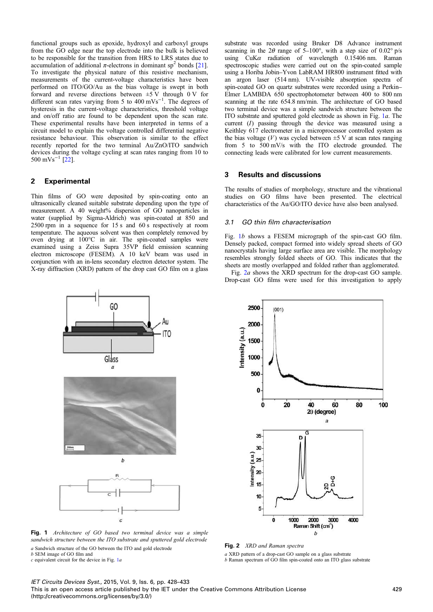functional groups such as epoxide, hydroxyl and carboxyl groups from the GO edge near the top electrode into the bulk is believed to be responsible for the transition from HRS to LRS states due to accumulation of additional  $\pi$ -electrons in dominant sp<sup>2</sup> bonds [21]. To investigate the physical nature of this resistive mechanism, measurements of the current-voltage characteristics have been performed on ITO/GO/Au as the bias voltage is swept in both forward and reverse directions between  $\pm$ 5 V through 0 V for different scan rates varying from 5 to 400 mVs<sup>-1</sup>. The degrees of hysteresis in the current-voltage characteristics, threshold voltage and on/off ratio are found to be dependent upon the scan rate. These experimental results have been interpreted in terms of a circuit model to explain the voltage controlled differential negative resistance behaviour. This observation is similar to the effect recently reported for the two terminal Au/ZnO/ITO sandwich devices during the voltage cycling at scan rates ranging from 10 to 500 mVs−<sup>1</sup> [22].

## 2 Experimental

Thin films of GO were deposited by spin-coating onto an ultrasonically cleaned suitable substrate depending upon the type of measurement. A 40 weight% dispersion of GO nanoparticles in water (supplied by Sigma-Aldrich) was spin-coated at 850 and 2500 rpm in a sequence for 15 s and 60 s respectively at room temperature. The aqueous solvent was then completely removed by oven drying at 100°C in air. The spin-coated samples were examined using a Zeiss Supra 35VP field emission scanning electron microscope (FESEM). A 10 keV beam was used in conjunction with an in-lens secondary electron detector system. The X-ray diffraction (XRD) pattern of the drop cast GO film on a glass substrate was recorded using Bruker D8 Advance instrument scanning in the  $2\theta$  range of 5–100°, with a step size of 0.02° p/s using  $CuK\alpha$  radiation of wavelength 0.15406 nm. Raman spectroscopic studies were carried out on the spin-coated sample using a Horiba Jobin–Yvon LabRAM HR800 instrument fitted with an argon laser (514 nm). UV-visible absorption spectra of spin-coated GO on quartz substrates were recorded using a Perkin– Elmer LAMBDA 650 spectrophotometer between 400 to 800 nm scanning at the rate 654.8 nm/min. The architecture of GO based two terminal device was a simple sandwich structure between the ITO substrate and sputtered gold electrode as shown in Fig. 1a. The current (I) passing through the device was measured using a Keithley 617 electrometer in a microprocessor controlled system as the bias voltage  $(V)$  was cycled between  $\pm$ 5 V at scan rates ranging from 5 to 500 mV/s with the ITO electrode grounded. The connecting leads were calibrated for low current measurements.

### 3 Results and discussions

The results of studies of morphology, structure and the vibrational studies on GO films have been presented. The electrical characteristics of the Au/GO/ITO device have also been analysed.

### *3.1 GO thin film characterisation*

 $(001)$ 

2500

2000

Fig. 1b shows a FESEM micrograph of the spin-cast GO film. Densely packed, compact formed into widely spread sheets of GO nanocrystals having large surface area are visible. The morphology resembles strongly folded sheets of GO. This indicates that the sheets are mostly overlapped and folded rather than agglomerated.

Fig. 2a shows the XRD spectrum for the drop-cast GO sample. Drop-cast GO films were used for this investigation to apply





Fig. 1 Architecture of GO based two terminal device was a simple sandwich structure between the ITO substrate and sputtered gold electrode

a Sandwich structure of the GO between the ITO and gold electrode b SEM image of GO film and

 $c$  equivalent circuit for the device in Fig.  $1a$ 

# Fig. 2 XRD and Raman spectra

a XRD pattern of a drop-cast GO sample on a glass substrate b Raman spectrum of GO film spin-coated onto an ITO glass substrate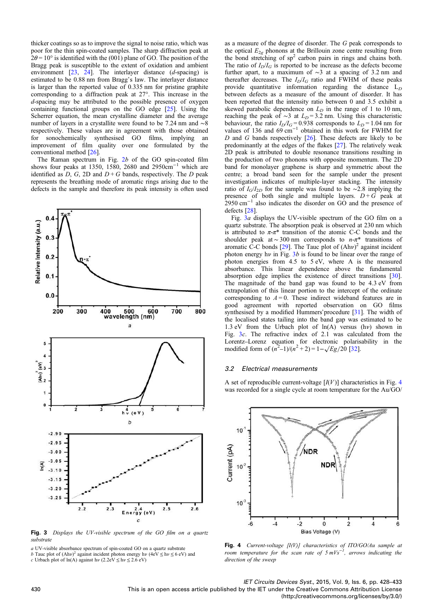thicker coatings so as to improve the signal to noise ratio, which was poor for the thin spin-coated samples. The sharp diffraction peak at  $2\theta = 10^{\circ}$  is identified with the (001) plane of GO. The position of the Bragg peak is susceptible to the extent of oxidation and ambient environment  $[23, 24]$ . The interlayer distance  $(d$ -spacing) is estimated to be 0.88 nm from Bragg's law. The interlayer distance is larger than the reported value of 0.335 nm for pristine graphite corresponding to a diffraction peak at 27°. This increase in the d-spacing may be attributed to the possible presence of oxygen containing functional groups on the GO edge [25]. Using the Scherrer equation, the mean crystalline diameter and the average number of layers in a crystallite were found to be 7.24 nm and ∼8 respectively. These values are in agreement with those obtained for sonochemically synthesised GO films, implying an improvement of film quality over one formulated by the conventional method [26].

The Raman spectrum in Fig.  $2b$  of the GO spin-coated film shows four peaks at 1350, 1580, 2680 and 2950 $cm^{-1}$  which are identified as  $D$ ,  $G$ ,  $2D$  and  $D + G$  bands, respectively. The  $D$  peak represents the breathing mode of aromatic rings arising due to the defects in the sample and therefore its peak intensity is often used



Fig. 3 Displays the UV-visible spectrum of the GO film on a quartz substrate

a UV-visible absorbance spectrum of spin-coated GO on a quartz substrate b Tauc plot of  $(Ah\nu)^2$  against incident photon energy  $h\nu$  (4eV  $\leq h\nu \leq 6$  eV) and

c Urbach plot of ln(A) against hv (2.2eV  $\leq$  hv  $\leq$  2.6 eV)

as a measure of the degree of disorder. The G peak corresponds to the optical  $E_{2g}$  phonons at the Brillouin zone centre resulting from the bond stretching of  $sp^2$  carbon pairs in rings and chains both. The ratio of  $I_D/I_G$  is reported to be increase as the defects become further apart, to a maximum of ∼3 at a spacing of 3.2 nm and thereafter decreases. The  $I_D/I_G$  ratio and FWHM of these peaks provide quantitative information regarding the distance  $L_D$ between defects as a measure of the amount of disorder. It has been reported that the intensity ratio between 0 and 3.5 exhibit a skewed parabolic dependence on  $L<sub>D</sub>$  in the range of 1 to 10 nm, reaching the peak of ~3 at  $L_D = 3.2$  nm. Using this characteristic behaviour, the ratio  $I_D/T_G = 0.938$  corresponds to  $L_D = 1.04$  nm for values of 136 and 69 cm<sup>-1</sup> obtained in this work for FWHM for  $D$  and  $G$  bands respectively  $[26]$ . These defects are likely to be predominantly at the edges of the flakes [27]. The relatively weak 2D peak is attributed to double resonance transitions resulting in the production of two phonons with opposite momentum. The 2D band for monolayer graphene is sharp and symmetric about the centre; a broad band seen for the sample under the present investigation indicates of multiple-layer stacking. The intensity ratio of  $I_G/I_{2D}$  for the sample was found to be ∼2.8 implying the presence of both single and multiple layers.  $D + G$  peak at 2950 cm<sup>-1</sup> also indicates the disorder on GO and the presence of defects [28].

Fig. 3a displays the UV-visible spectrum of the GO film on a quartz substrate. The absorption peak is observed at 230 nm which is attributed to  $\pi$ - $\pi$ <sup>\*</sup> transition of the atomic C-C bonds and the shoulder peak at ~ 300 nm corresponds to  $n-\pi^*$  transitions of aromatic C-C bonds [29]. The Tauc plot of  $(Ah\nu)^2$  against incident photon energy hv in Fig.  $3b$  is found to be linear over the range of photon energies from 4.5 to 5 eV, where A is the measured absorbance. This linear dependence above the fundamental absorption edge implies the existence of direct transitions [30]. The magnitude of the band gap was found to be 4.3 eV from extrapolation of this linear portion to the intercept of the ordinate corresponding to  $A = 0$ . These indirect wideband features are in good agreement with reported observation on GO films synthesised by a modified Hummers'procedure [31]. The width of the localised states tailing into the band gap was estimated to be 1.3 eV from the Urbach plot of  $ln(A)$  versus  $(h\nu)$  shown in Fig. 3c. The refractive index of 2.1 was calculated from the Lorentz–Lorenz equation for electronic polarisability in the modified form of  $(n^2-1)/(n^2+2) = 1-\sqrt{Eg/20}$  [32].

### *3.2 Electrical measurements*

A set of reproducible current-voltage  $[I(V)]$  characteristics in Fig. 4 was recorded for a single cycle at room temperature for the Au/GO/



Fig. 4 Current-voltage  $[I(V)]$  characteristics of ITO/GO/Au sample at room temperature for the scan rate of  $5 \, mVs^{-1}$ , arrows indicating the direction of the sweep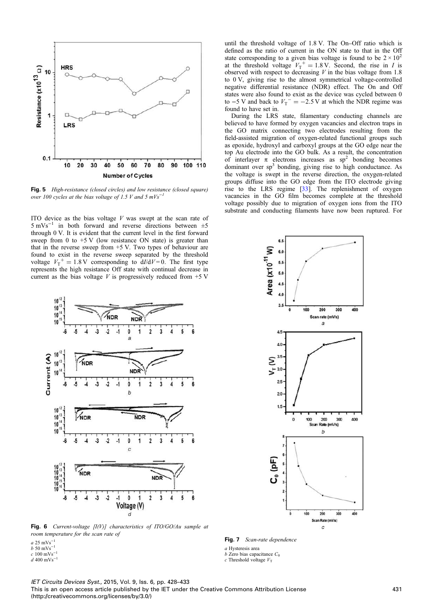

Fig. 5 High-resistance (closed circles) and low resistance (closed square) over 100 cycles at the bias voltage of 1.5 V and 5  $mVs^{-1}$ 

ITO device as the bias voltage  $V$  was swept at the scan rate of 5 mVs−<sup>1</sup> in both forward and reverse directions between ±5 through 0 V. It is evident that the current level in the first forward sweep from 0 to  $+5$  V (low resistance ON state) is greater than that in the reverse sweep from +5 V. Two types of behaviour are found to exist in the reverse sweep separated by the threshold voltage  $V_T^+ = 1.8 \text{ V}$  corresponding to  $d/dV = 0$ . The first type represents the high resistance Off state with continual decrease in current as the bias voltage  $V$  is progressively reduced from  $+5$  V



until the threshold voltage of 1.8 V. The On–Off ratio which is defined as the ratio of current in the ON state to that in the Off state corresponding to a given bias voltage is found to be  $2 \times 10^2$ at the threshold voltage  $V_T^+ = 1.8$  V. Second, the rise in I is observed with respect to decreasing  $V$  in the bias voltage from 1.8 to 0 V, giving rise to the almost symmetrical voltage-controlled negative differential resistance (NDR) effect. The On and Off states were also found to exist as the device was cycled between 0 to  $-5$  V and back to  $V_T$ <sup>-</sup> = −2.5 V at which the NDR regime was found to have set in.

During the LRS state, filamentary conducting channels are believed to have formed by oxygen vacancies and electron traps in the GO matrix connecting two electrodes resulting from the field-assisted migration of oxygen-related functional groups such as epoxide, hydroxyl and carboxyl groups at the GO edge near the top Au electrode into the GO bulk. As a result, the concentration of interlayer  $\pi$  electrons increases as sp<sup>2</sup> bonding becomes dominant over sp<sup>3</sup> bonding, giving rise to high conductance. As the voltage is swept in the reverse direction, the oxygen-related groups diffuse into the GO edge from the ITO electrode giving rise to the LRS regime [33]. The replenishment of oxygen vacancies in the GO film becomes complete at the threshold voltage possibly due to migration of oxygen ions from the ITO substrate and conducting filaments have now been ruptured. For



room temperature for the scan rate of

- 
- 

Fig. 7 Scan-rate dependence

a Hysteresis area

- $b$  Zero bias capacitance  $C_0$
- $c$  Threshold voltage  $V<sub>T</sub>$



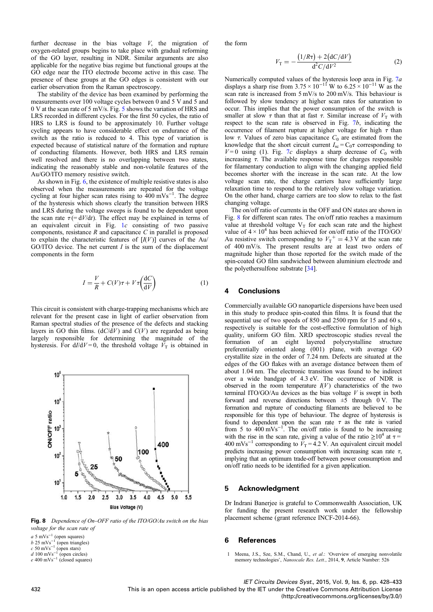further decrease in the bias voltage  $V$ , the migration of oxygen-related groups begins to take place with gradual reforming of the GO layer, resulting in NDR. Similar arguments are also applicable for the negative bias regime but functional groups at the GO edge near the ITO electrode become active in this case. The presence of these groups at the GO edges is consistent with our earlier observation from the Raman spectroscopy.

The stability of the device has been examined by performing the measurements over 100 voltage cycles between 0 and 5 V and 5 and 0 V at the scan rate of 5 mV/s. Fig. 5 shows the variation of HRS and LRS recorded in different cycles. For the first 50 cycles, the ratio of HRS to LRS is found to be approximately 10. Further voltage cycling appears to have considerable effect on endurance of the switch as the ratio is reduced to 4. This type of variation is expected because of statistical nature of the formation and rupture of conducting filaments. However, both HRS and LRS remain well resolved and there is no overlapping between two states, indicating the reasonably stable and non-volatile features of the Au/GO/ITO memory resistive switch.

As shown in Fig. 6, the existence of multiple resistive states is also observed when the measurements are repeated for the voltage cycling at four higher scan rates rising to 400 mVs<sup>-1</sup>. The degree of the hysteresis which shows clearly the transition between HRS and LRS during the voltage sweeps is found to be dependent upon the scan rate  $\tau$  (= dV/dt). The effect may be explained in terms of an equivalent circuit in Fig. 1c consisting of two passive components, resistance  $R$  and capacitance  $C$  in parallel is proposed to explain the characteristic features of  $[I(V)]$  curves of the Au/ GO/ITO device. The net current  $I$  is the sum of the displacement components in the form

$$
I = \frac{V}{R} + C(V)\tau + V\tau \left(\frac{\mathrm{d}C}{\mathrm{d}V}\right) \tag{1}
$$

This circuit is consistent with charge-trapping mechanisms which are relevant for the present case in light of earlier observation from Raman spectral studies of the presence of the defects and stacking layers in GO thin films.  $(dC/dV)$  and  $C(V)$  are regarded as being largely responsible for determining the magnitude of the hysteresis. For  $d/dV = 0$ , the threshold voltage  $V_T$  is obtained in



Fig. 8 Dependence of On-OFF ratio of the ITO/GO/Au switch on the bias voltage for the scan rate of

 $a$  5 mVs<sup>-1</sup> (open squares)<br>b 25 mVs<sup>-1</sup> (open triangles)<br>c 50 mVs<sup>-1</sup> (open stars)<br>d 100 mVs<sup>-1</sup> (open circles)

the form

$$
V_{\rm T} = -\frac{(1/R\tau) + 2(\text{d}C/\text{d}V)}{\text{d}^2C/\text{d}V^2}
$$
 (2)

Numerically computed values of the hysteresis loop area in Fig. 7*a* displays a sharp rise from  $3.75 \times 10^{-11}$  W to  $6.25 \times 10^{-11}$  W as the scan rate is increased from 5 mV/s to 200 mV/s. This behaviour is followed by slow tendency at higher scan rates for saturation to occur. This implies that the power consumption of the switch is smaller at slow  $\tau$  than that at fast  $\tau$ . Similar increase of  $V<sub>T</sub>$  with respect to the scan rate is observed in Fig. 7b, indicating the occurrence of filament rupture at higher voltage for high  $\tau$  than low  $\tau$ . Values of zero bias capacitance  $C_0$  are estimated from the knowledge that the short circuit current  $I_{\rm sc} = C_0 \tau$  corresponding to  $V=0$  using (1). Fig. 7c displays a sharp decrease of  $C_0$  with increasing  $\tau$ . The available response time for charges responsible for filamentary conduction to align with the changing applied field becomes shorter with the increase in the scan rate. At the low voltage scan rate, the charge carriers have sufficiently large relaxation time to respond to the relatively slow voltage variation. On the other hand, charge carriers are too slow to relax to the fast changing voltage.

The on/off ratio of currents in the OFF and ON states are shown in Fig. 8 for different scan rates. The on/off ratio reaches a maximum value at threshold voltage  $V_T$  for each scan rate and the highest value of  $4 \times 10^4$  has been achieved for on/off ratio of the ITO/GO/ Au resistive switch corresponding to  $V_T^+ = 4.3$  V at the scan rate of 400 mV/s. The present results are at least two orders of magnitude higher than those reported for the switch made of the spin-coated GO film sandwiched between aluminium electrode and the polyethersulfone substrate [34].

### 4 Conclusions

Commercially available GO nanoparticle dispersions have been used in this study to produce spin-coated thin films. It is found that the sequential use of two speeds of 850 and 2500 rpm for 15 and 60 s, respectively is suitable for the cost-effective formulation of high quality, uniform GO film. XRD spectroscopic studies reveal the formation of an eight layered polycrystalline structure preferentially oriented along (001) plane, with average GO crystallite size in the order of 7.24 nm. Defects are situated at the edges of the GO flakes with an average distance between them of about 1.04 nm. The electronic transition was found to be indirect over a wide bandgap of 4.3 eV. The occurrence of NDR is observed in the room temperature  $I(V)$  characteristics of the two terminal ITO/GO/Au devices as the bias voltage  $V$  is swept in both forward and reverse directions between ±5 through 0 V. The formation and rupture of conducting filaments are believed to be responsible for this type of behaviour. The degree of hysteresis is found to dependent upon the scan rate  $\tau$  as the rate is varied from 5 to  $400 \text{ mVs}^{-1}$ . The on/off ratio is found to be increasing with the rise in the scan rate, giving a value of the ratio  $\geq 10^4$  at  $\tau =$ 400 mVs<sup>-1</sup> corresponding to  $V_T = 4.2$  V. An equivalent circuit model predicts increasing power consumption with increasing scan rate  $\tau$ , implying that an optimum trade-off between power consumption and on/off ratio needs to be identified for a given application.

### 5 Acknowledgment

Dr Indrani Banerjee is grateful to Commonwealth Association, UK for funding the present research work under the fellowship placement scheme (grant reference INCF-2014-66).

#### 6 References

1 Meena, J.S., Sze, S.M., Chand, U., et al.: 'Overview of emerging nonvolatile memory technologies', Nanoscale Res. Lett., 2014, 9, Article Number: 526

 $e$  400 mVs<sup>-1</sup> (closed squares)